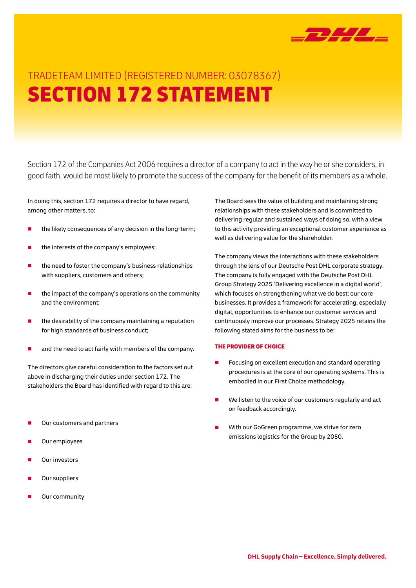

# TRADETEAM LIMITED (REGISTERED NUMBER: 03078367) SECTION 172 STATEMENT

Section 172 of the Companies Act 2006 requires a director of a company to act in the way he or she considers, in good faith, would be most likely to promote the success of the company for the benefit of its members as a whole.

In doing this, section 172 requires a director to have regard, among other matters, to:

- the likely consequences of any decision in the long-term;
- the interests of the company's employees;
- the need to foster the company's business relationships with suppliers, customers and others;
- the impact of the company's operations on the community and the environment;
- the desirability of the company maintaining a reputation for high standards of business conduct;
- and the need to act fairly with members of the company.

The directors give careful consideration to the factors set out above in discharging their duties under section 172. The stakeholders the Board has identified with regard to this are:

- Our customers and partners
- Our employees
- Our investors
- Our suppliers
- Our community

The Board sees the value of building and maintaining strong relationships with these stakeholders and is committed to delivering regular and sustained ways of doing so, with a view to this activity providing an exceptional customer experience as well as delivering value for the shareholder.

The company views the interactions with these stakeholders through the lens of our Deutsche Post DHL corporate strategy. The company is fully engaged with the Deutsche Post DHL Group Strategy 2025 'Delivering excellence in a digital world', which focuses on strengthening what we do best; our core businesses. It provides a framework for accelerating, especially digital, opportunities to enhance our customer services and continuously improve our processes. Strategy 2025 retains the following stated aims for the business to be:

#### THE PROVIDER OF CHOICE

- Focusing on excellent execution and standard operating procedures is at the core of our operating systems. This is embodied in our First Choice methodology.
- We listen to the voice of our customers regularly and act on feedback accordingly.
- With our GoGreen programme, we strive for zero emissions logistics for the Group by 2050.